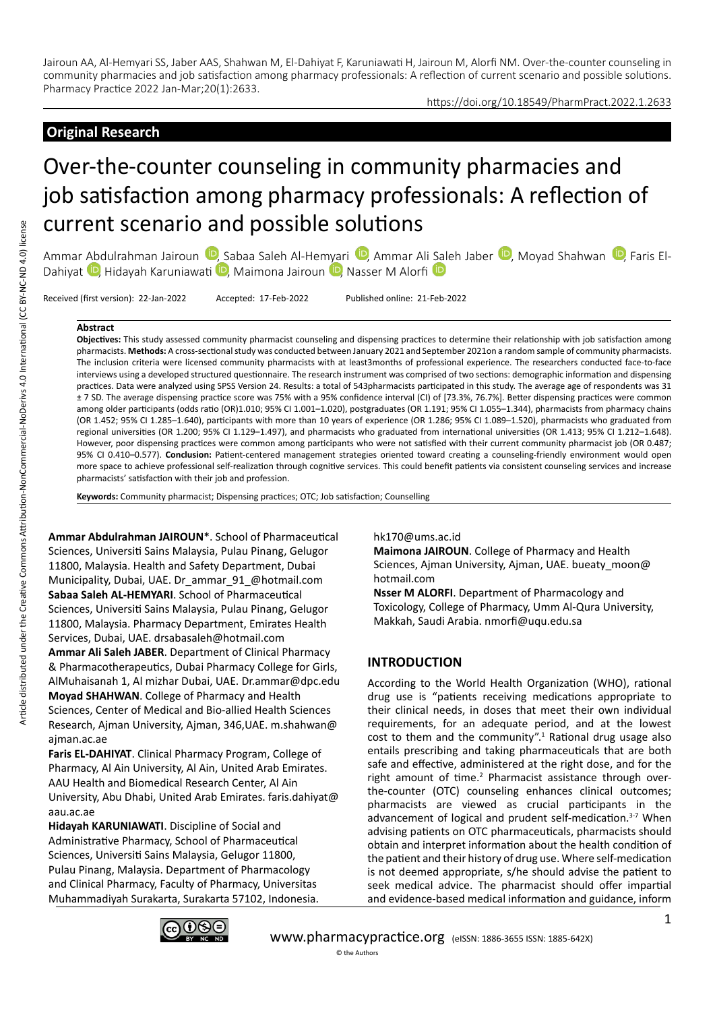## https://doi.org/10.18549/PharmPract.2022.1.2633

# **Original Research**

# Over-the-counter counseling in community pharmacies and job satisfaction among pharmacy professionals: A reflection of current scenario and possible solutions

Ammar Abdulrahman Jairoun <sup>(D</sup>[,](https://orcid.org/0000-0001-8367-4841) Sabaa [Sal](https://orcid.org/0000-0002-0636-7685)eh Al-Hemyari <sup>(D</sup>, Ammar Ali Saleh Jaber <sup>(D</sup>, Moyad Shahwan <sup>(D</sup>, Faris El-Dahiyat <sup>D</sup>, Hidayah Karuniawati D, Maimona Jairoun D, Nasser M Alorfi D

Received (first version): 22-Jan-2022 Accepted: 17-Feb-2022 Published online: 21-Feb-2022

#### **Abstract**

**Objectives:** This study assessed community pharmacist counseling and dispensing practices to determine their relationship with job satisfaction among pharmacists. **Methods:** A cross-sectional study was conducted between January 2021 and September 2021on a random sample of community pharmacists. The inclusion criteria were licensed community pharmacists with at least3months of professional experience. The researchers conducted face-to-face interviews using a developed structured questionnaire. The research instrument was comprised of two sections: demographic information and dispensing practices. Data were analyzed using SPSS Version 24. Results: a total of 543pharmacists participated in this study. The average age of respondents was 31 ± 7 SD. The average dispensing practice score was 75% with a 95% confidence interval (CI) of [73.3%, 76.7%]. Better dispensing practices were common among older participants (odds ratio (OR)1.010; 95% CI 1.001–1.020), postgraduates (OR 1.191; 95% CI 1.055–1.344), pharmacists from pharmacy chains (OR 1.452; 95% CI 1.285–1.640), participants with more than 10 years of experience (OR 1.286; 95% CI 1.089–1.520), pharmacists who graduated from regional universities (OR 1.200; 95% CI 1.129–1.497), and pharmacists who graduated from international universities (OR 1.413; 95% CI 1.212–1.648). However, poor dispensing practices were common among participants who were not satisfied with their current community pharmacist job (OR 0.487; 95% CI 0.410–0.577). **Conclusion:** Patient-centered management strategies oriented toward creating a counseling-friendly environment would open more space to achieve professional self-realization through cognitive services. This could benefit patients via consistent counseling services and increase pharmacists' satisfaction with their job and profession.

**Keywords:** Community pharmacist; Dispensing practices; OTC; Job satisfaction; Counselling

**Ammar Abdulrahman JAIROUN**\*. School of Pharmaceutical Sciences, Universiti Sains Malaysia, Pulau Pinang, Gelugor 11800, Malaysia. Health and Safety Department, Dubai Municipality, Dubai, UAE. Dr\_ammar\_91\_@hotmail.com **Sabaa Saleh AL-HEMYARI**. School of Pharmaceutical Sciences, Universiti Sains Malaysia, Pulau Pinang, Gelugor 11800, Malaysia. Pharmacy Department, Emirates Health Services, Dubai, UAE. drsabasaleh@hotmail.com **Ammar Ali Saleh JABER**. Department of Clinical Pharmacy & Pharmacotherapeutics, Dubai Pharmacy College for Girls, AlMuhaisanah 1, Al mizhar Dubai, UAE. Dr.ammar@dpc.edu **Moyad SHAHWAN**. College of Pharmacy and Health Sciences, Center of Medical and Bio-allied Health Sciences Research, Ajman University, Ajman, 346,UAE. m.shahwan@ ajman.ac.ae

**Faris EL-DAHIYAT**. Clinical Pharmacy Program, College of Pharmacy, Al Ain University, Al Ain, United Arab Emirates. AAU Health and Biomedical Research Center, Al Ain University, Abu Dhabi, United Arab Emirates. faris.dahiyat@ aau.ac.ae

**Hidayah KARUNIAWATI**. Discipline of Social and Administrative Pharmacy, School of Pharmaceutical Sciences, Universiti Sains Malaysia, Gelugor 11800, Pulau Pinang, Malaysia. Department of Pharmacology and Clinical Pharmacy, Faculty of Pharmacy, Universitas Muhammadiyah Surakarta, Surakarta 57102, Indonesia. hk170@ums.ac.id

**Maimona JAIROUN**. College of Pharmacy and Health Sciences, Ajman University, Ajman, UAE. bueaty moon@ hotmail.com

**Nsser M ALORFI**. Department of Pharmacology and Toxicology, College of Pharmacy, Umm Al-Qura University, Makkah, Saudi Arabia. nmorfi@uqu.edu.sa

# **INTRODUCTION**

According to the World Health Organization (WHO), rational drug use is "patients receiving medications appropriate to their clinical needs, in doses that meet their own individual requirements, for an adequate period, and at the lowest cost to them and the community".<sup>1</sup> Rational drug usage also entails prescribing and taking pharmaceuticals that are both safe and effective, administered at the right dose, and for the right amount of time. $2$  Pharmacist assistance through overthe-counter (OTC) counseling enhances clinical outcomes; pharmacists are viewed as crucial participants in the advancement of logical and prudent self-medication.<sup>3-7</sup> When advising patients on OTC pharmaceuticals, pharmacists should obtain and interpret information about the health condition of the patient and their history of drug use. Where self-medication is not deemed appropriate, s/he should advise the patient to seek medical advice. The pharmacist should offer impartial and evidence-based medical information and guidance, inform

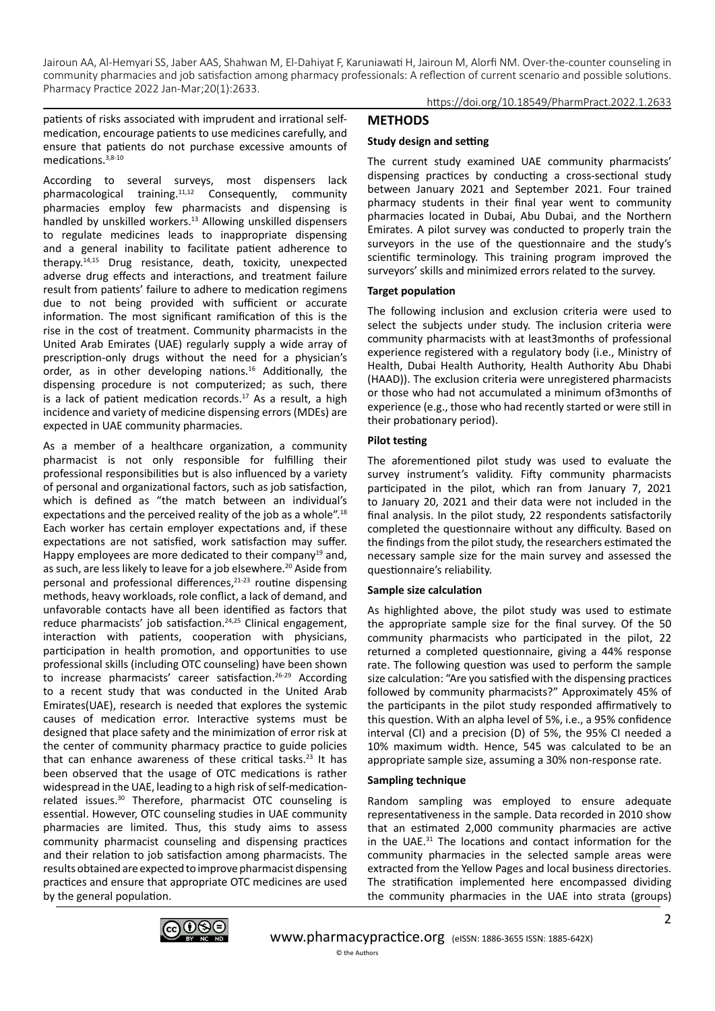https://doi.org/10.18549/PharmPract.2022.1.2633

patients of risks associated with imprudent and irrational selfmedication, encourage patients to use medicines carefully, and ensure that patients do not purchase excessive amounts of medications.3,8-10

According to several surveys, most dispensers lack pharmacological training.11,12 Consequently, community pharmacies employ few pharmacists and dispensing is handled by unskilled workers.<sup>13</sup> Allowing unskilled dispensers to regulate medicines leads to inappropriate dispensing and a general inability to facilitate patient adherence to therapy.14,15 Drug resistance, death, toxicity, unexpected adverse drug effects and interactions, and treatment failure result from patients' failure to adhere to medication regimens due to not being provided with sufficient or accurate information. The most significant ramification of this is the rise in the cost of treatment. Community pharmacists in the United Arab Emirates (UAE) regularly supply a wide array of prescription-only drugs without the need for a physician's order, as in other developing nations.16 Additionally, the dispensing procedure is not computerized; as such, there is a lack of patient medication records. $17$  As a result, a high incidence and variety of medicine dispensing errors (MDEs) are expected in UAE community pharmacies.

As a member of a healthcare organization, a community pharmacist is not only responsible for fulfilling their professional responsibilities but is also influenced by a variety of personal and organizational factors, such as job satisfaction, which is defined as "the match between an individual's expectations and the perceived reality of the job as a whole".<sup>18</sup> Each worker has certain employer expectations and, if these expectations are not satisfied, work satisfaction may suffer. Happy employees are more dedicated to their company<sup>19</sup> and, as such, are less likely to leave for a job elsewhere.<sup>20</sup> Aside from personal and professional differences, $21-23$  routine dispensing methods, heavy workloads, role conflict, a lack of demand, and unfavorable contacts have all been identified as factors that reduce pharmacists' job satisfaction.<sup>24,25</sup> Clinical engagement, interaction with patients, cooperation with physicians, participation in health promotion, and opportunities to use professional skills (including OTC counseling) have been shown to increase pharmacists' career satisfaction.<sup>26-29</sup> According to a recent study that was conducted in the United Arab Emirates(UAE), research is needed that explores the systemic causes of medication error. Interactive systems must be designed that place safety and the minimization of error risk at the center of community pharmacy practice to guide policies that can enhance awareness of these critical tasks.<sup>23</sup> It has been observed that the usage of OTC medications is rather widespread in the UAE, leading to a high risk of self-medicationrelated issues.30 Therefore, pharmacist OTC counseling is essential. However, OTC counseling studies in UAE community pharmacies are limited. Thus, this study aims to assess community pharmacist counseling and dispensing practices and their relation to job satisfaction among pharmacists. The results obtained are expected to improve pharmacist dispensing practices and ensure that appropriate OTC medicines are used by the general population.

**METHODS**

## **Study design and setting**

The current study examined UAE community pharmacists' dispensing practices by conducting a cross-sectional study between January 2021 and September 2021. Four trained pharmacy students in their final year went to community pharmacies located in Dubai, Abu Dubai, and the Northern Emirates. A pilot survey was conducted to properly train the surveyors in the use of the questionnaire and the study's scientific terminology. This training program improved the surveyors' skills and minimized errors related to the survey.

## **Target population**

The following inclusion and exclusion criteria were used to select the subjects under study. The inclusion criteria were community pharmacists with at least3months of professional experience registered with a regulatory body (i.e., Ministry of Health, Dubai Health Authority, Health Authority Abu Dhabi (HAAD)). The exclusion criteria were unregistered pharmacists or those who had not accumulated a minimum of3months of experience (e.g., those who had recently started or were still in their probationary period).

## **Pilot testing**

The aforementioned pilot study was used to evaluate the survey instrument's validity. Fifty community pharmacists participated in the pilot, which ran from January 7, 2021 to January 20, 2021 and their data were not included in the final analysis. In the pilot study, 22 respondents satisfactorily completed the questionnaire without any difficulty. Based on the findings from the pilot study, the researchers estimated the necessary sample size for the main survey and assessed the questionnaire's reliability.

## **Sample size calculation**

As highlighted above, the pilot study was used to estimate the appropriate sample size for the final survey. Of the 50 community pharmacists who participated in the pilot, 22 returned a completed questionnaire, giving a 44% response rate. The following question was used to perform the sample size calculation: "Are you satisfied with the dispensing practices followed by community pharmacists?" Approximately 45% of the participants in the pilot study responded affirmatively to this question. With an alpha level of 5%, i.e., a 95% confidence interval (CI) and a precision (D) of 5%, the 95% CI needed a 10% maximum width. Hence, 545 was calculated to be an appropriate sample size, assuming a 30% non-response rate.

# **Sampling technique**

Random sampling was employed to ensure adequate representativeness in the sample. Data recorded in 2010 show that an estimated 2,000 community pharmacies are active in the UAE.31 The locations and contact information for the community pharmacies in the selected sample areas were extracted from the Yellow Pages and local business directories. The stratification implemented here encompassed dividing the community pharmacies in the UAE into strata (groups)

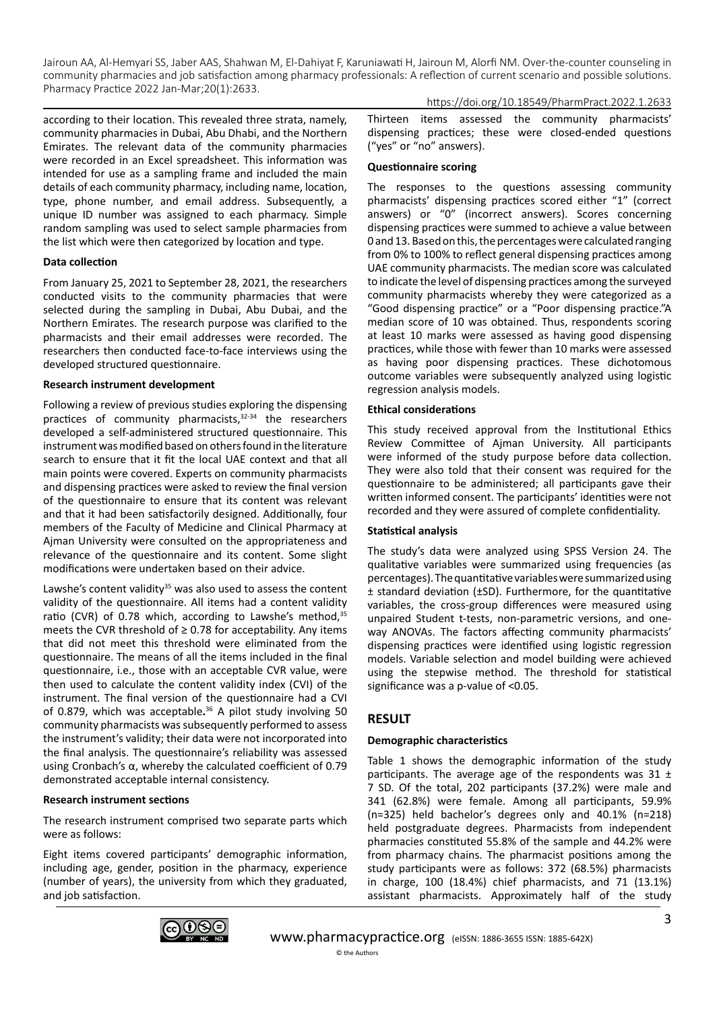according to their location. This revealed three strata, namely, community pharmacies in Dubai, Abu Dhabi, and the Northern Emirates. The relevant data of the community pharmacies were recorded in an Excel spreadsheet. This information was intended for use as a sampling frame and included the main details of each community pharmacy, including name, location, type, phone number, and email address. Subsequently, a unique ID number was assigned to each pharmacy. Simple random sampling was used to select sample pharmacies from the list which were then categorized by location and type.

## **Data collection**

From January 25, 2021 to September 28, 2021, the researchers conducted visits to the community pharmacies that were selected during the sampling in Dubai, Abu Dubai, and the Northern Emirates. The research purpose was clarified to the pharmacists and their email addresses were recorded. The researchers then conducted face-to-face interviews using the developed structured questionnaire.

## **Research instrument development**

Following a review of previous studies exploring the dispensing practices of community pharmacists,<sup>32-34</sup> the researchers developed a self-administered structured questionnaire. This instrument was modified based on others found in the literature search to ensure that it fit the local UAE context and that all main points were covered. Experts on community pharmacists and dispensing practices were asked to review the final version of the questionnaire to ensure that its content was relevant and that it had been satisfactorily designed. Additionally, four members of the Faculty of Medicine and Clinical Pharmacy at Ajman University were consulted on the appropriateness and relevance of the questionnaire and its content. Some slight modifications were undertaken based on their advice.

Lawshe's content validity<sup>35</sup> was also used to assess the content validity of the questionnaire. All items had a content validity ratio (CVR) of 0.78 which, according to Lawshe's method, $35$ meets the CVR threshold of  $\geq$  0.78 for acceptability. Any items that did not meet this threshold were eliminated from the questionnaire. The means of all the items included in the final questionnaire, i.e., those with an acceptable CVR value, were then used to calculate the content validity index (CVI) of the instrument. The final version of the questionnaire had a CVI of 0.879, which was acceptable**.** <sup>36</sup> A pilot study involving 50 community pharmacists was subsequently performed to assess the instrument's validity; their data were not incorporated into the final analysis. The questionnaire's reliability was assessed using Cronbach's α, whereby the calculated coefficient of 0.79 demonstrated acceptable internal consistency.

## **Research instrument sections**

The research instrument comprised two separate parts which were as follows:

Eight items covered participants' demographic information, including age, gender, position in the pharmacy, experience (number of years), the university from which they graduated, and job satisfaction.

Thirteen items assessed the community pharmacists' dispensing practices; these were closed-ended questions ("yes" or "no" answers).

https://doi.org/10.18549/PharmPract.2022.1.2633

#### **Questionnaire scoring**

The responses to the questions assessing community pharmacists' dispensing practices scored either "1" (correct answers) or "0" (incorrect answers). Scores concerning dispensing practices were summed to achieve a value between 0 and 13. Based on this, the percentages were calculated ranging from 0% to 100% to reflect general dispensing practices among UAE community pharmacists. The median score was calculated to indicate the level of dispensing practices among the surveyed community pharmacists whereby they were categorized as a "Good dispensing practice" or a "Poor dispensing practice."A median score of 10 was obtained. Thus, respondents scoring at least 10 marks were assessed as having good dispensing practices, while those with fewer than 10 marks were assessed as having poor dispensing practices. These dichotomous outcome variables were subsequently analyzed using logistic regression analysis models.

#### **Ethical considerations**

This study received approval from the Institutional Ethics Review Committee of Ajman University. All participants were informed of the study purpose before data collection. They were also told that their consent was required for the questionnaire to be administered; all participants gave their written informed consent. The participants' identities were not recorded and they were assured of complete confidentiality.

#### **Statistical analysis**

The study's data were analyzed using SPSS Version 24. The qualitative variables were summarized using frequencies (as percentages). The quantitative variables were summarized using ± standard deviation (±SD). Furthermore, for the quantitative variables, the cross-group differences were measured using unpaired Student t-tests, non-parametric versions, and oneway ANOVAs. The factors affecting community pharmacists' dispensing practices were identified using logistic regression models. Variable selection and model building were achieved using the stepwise method. The threshold for statistical significance was a p-value of <0.05.

## **RESULT**

#### **Demographic characteristics**

Table 1 shows the demographic information of the study participants. The average age of the respondents was 31  $\pm$ 7 SD. Of the total, 202 participants (37.2%) were male and 341 (62.8%) were female. Among all participants, 59.9% (n=325) held bachelor's degrees only and 40.1% (n=218) held postgraduate degrees. Pharmacists from independent pharmacies constituted 55.8% of the sample and 44.2% were from pharmacy chains. The pharmacist positions among the study participants were as follows: 372 (68.5%) pharmacists in charge, 100 (18.4%) chief pharmacists, and 71 (13.1%) assistant pharmacists. Approximately half of the study

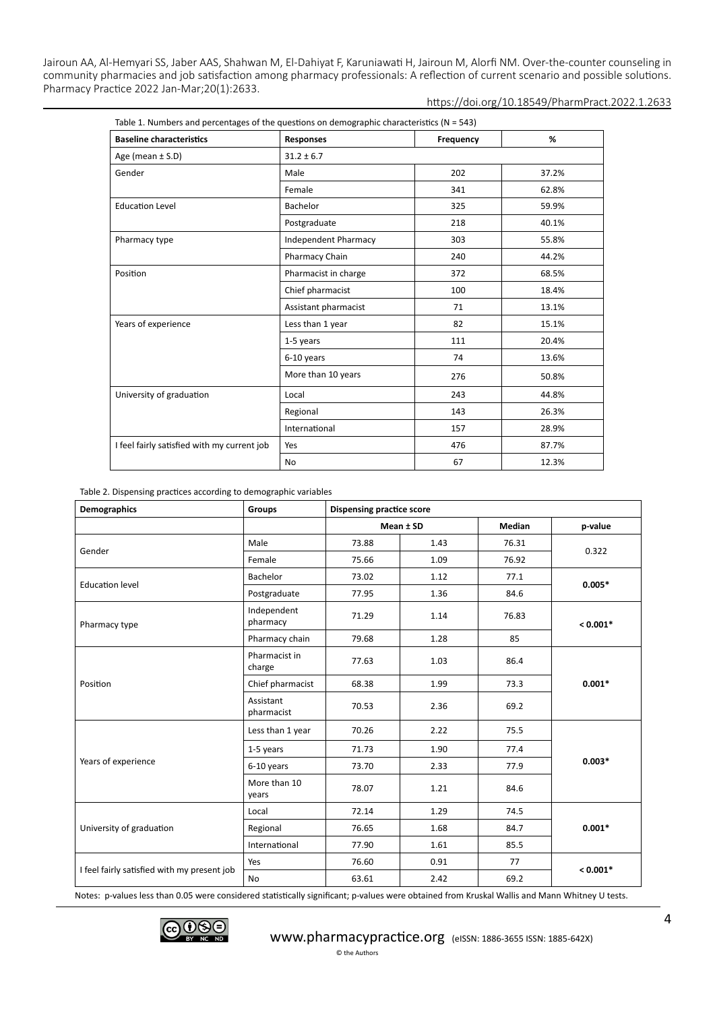https://doi.org/10.18549/PharmPract.2022.1.2633

| <b>Baseline characteristics</b>             | <b>Responses</b>            | Frequency | %     |  |
|---------------------------------------------|-----------------------------|-----------|-------|--|
| Age (mean $\pm$ S.D)                        | $31.2 \pm 6.7$              |           |       |  |
| Gender                                      | Male                        | 202       | 37.2% |  |
|                                             | Female                      | 341       | 62.8% |  |
| <b>Education Level</b>                      | Bachelor                    | 325       | 59.9% |  |
|                                             | Postgraduate                | 218       | 40.1% |  |
| Pharmacy type                               | <b>Independent Pharmacy</b> | 303       | 55.8% |  |
|                                             | Pharmacy Chain              | 240       | 44.2% |  |
| Position                                    | Pharmacist in charge        | 372       | 68.5% |  |
|                                             | Chief pharmacist            | 100       | 18.4% |  |
|                                             | Assistant pharmacist        | 71        | 13.1% |  |
| Years of experience                         | Less than 1 year            | 82        | 15.1% |  |
|                                             | 1-5 years                   | 111       | 20.4% |  |
|                                             | 6-10 years                  | 74        | 13.6% |  |
|                                             | More than 10 years          | 276       | 50.8% |  |
| University of graduation                    | Local                       | 243       | 44.8% |  |
|                                             | Regional                    | 143       | 26.3% |  |
|                                             | International               | 157       | 28.9% |  |
| I feel fairly satisfied with my current job | Yes                         | 476       | 87.7% |  |
|                                             | No.                         | 67        | 12.3% |  |

Table 2. Dispensing practices according to demographic variables

| <b>Demographics</b>                         | <b>Groups</b>           | <b>Dispensing practice score</b> |              |        |            |  |
|---------------------------------------------|-------------------------|----------------------------------|--------------|--------|------------|--|
|                                             |                         | Mean ± SD                        |              | Median | p-value    |  |
|                                             | Male                    | 73.88                            | 1.43         | 76.31  | 0.322      |  |
| Gender                                      | Female                  | 75.66                            | 1.09         | 76.92  |            |  |
|                                             | Bachelor                | 73.02                            | 1.12         | 77.1   | $0.005*$   |  |
| <b>Education level</b>                      | Postgraduate            | 77.95                            | 1.36         | 84.6   |            |  |
| Pharmacy type                               | Independent<br>pharmacy | 71.29                            | 1.14         | 76.83  | $< 0.001*$ |  |
|                                             | Pharmacy chain          | 79.68                            | 1.28         | 85     |            |  |
|                                             | Pharmacist in<br>charge | 77.63                            | 1.03         | 86.4   |            |  |
| Position                                    | Chief pharmacist        | 68.38                            | 1.99<br>73.3 |        | $0.001*$   |  |
|                                             | Assistant<br>pharmacist | 70.53                            | 2.36         | 69.2   |            |  |
|                                             | Less than 1 year        | 70.26                            | 2.22         | 75.5   |            |  |
|                                             | 1-5 years               | 71.73                            | 1.90         | 77.4   |            |  |
| Years of experience                         | 6-10 years              | 73.70                            | 2.33         | 77.9   | $0.003*$   |  |
|                                             | More than 10<br>years   |                                  | 1.21         | 84.6   |            |  |
| University of graduation                    | Local                   | 72.14                            | 1.29         | 74.5   | $0.001*$   |  |
|                                             | Regional                | 76.65                            | 1.68         | 84.7   |            |  |
|                                             | International           | 77.90                            | 1.61         | 85.5   |            |  |
| I feel fairly satisfied with my present job | Yes                     | 76.60                            | 0.91         | 77     | $< 0.001*$ |  |
|                                             | No                      | 63.61                            | 2.42         | 69.2   |            |  |

Notes: p-values less than 0.05 were considered statistically significant; p-values were obtained from Kruskal Wallis and Mann Whitney U tests.

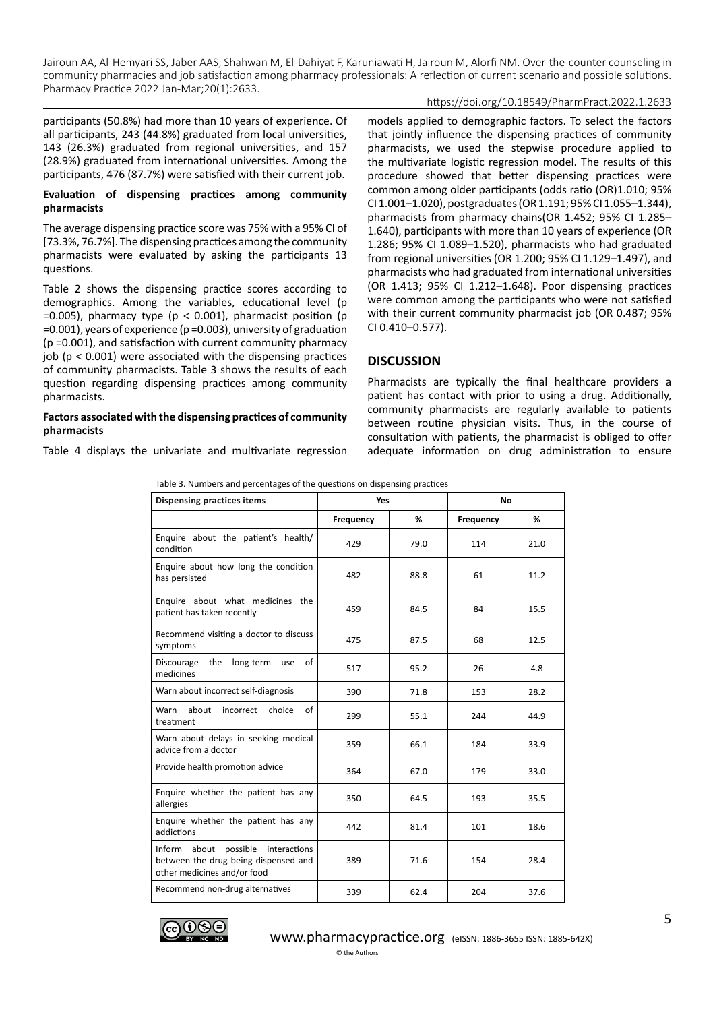## https://doi.org/10.18549/PharmPract.2022.1.2633

participants (50.8%) had more than 10 years of experience. Of all participants, 243 (44.8%) graduated from local universities, 143 (26.3%) graduated from regional universities, and 157 (28.9%) graduated from international universities. Among the participants, 476 (87.7%) were satisfied with their current job.

## **Evaluation of dispensing practices among community pharmacists**

The average dispensing practice score was 75% with a 95% CI of [73.3%, 76.7%]. The dispensing practices among the community pharmacists were evaluated by asking the participants 13 questions.

Table 2 shows the dispensing practice scores according to demographics. Among the variables, educational level (p  $=0.005$ ), pharmacy type (p < 0.001), pharmacist position (p =0.001), years of experience (p =0.003), university of graduation (p =0.001), and satisfaction with current community pharmacy job ( $p < 0.001$ ) were associated with the dispensing practices of community pharmacists. Table 3 shows the results of each question regarding dispensing practices among community pharmacists.

#### **Factors associated with the dispensing practices of community pharmacists**

Table 4 displays the univariate and multivariate regression

models applied to demographic factors. To select the factors that jointly influence the dispensing practices of community pharmacists, we used the stepwise procedure applied to the multivariate logistic regression model. The results of this procedure showed that better dispensing practices were common among older participants (odds ratio (OR)1.010; 95% CI 1.001–1.020), postgraduates (OR 1.191; 95% CI 1.055–1.344), pharmacists from pharmacy chains(OR 1.452; 95% CI 1.285– 1.640), participants with more than 10 years of experience (OR 1.286; 95% CI 1.089–1.520), pharmacists who had graduated from regional universities (OR 1.200; 95% CI 1.129–1.497), and pharmacists who had graduated from international universities (OR 1.413; 95% CI 1.212–1.648). Poor dispensing practices were common among the participants who were not satisfied with their current community pharmacist job (OR 0.487; 95% CI 0.410–0.577).

# **DISCUSSION**

Pharmacists are typically the final healthcare providers a patient has contact with prior to using a drug. Additionally, community pharmacists are regularly available to patients between routine physician visits. Thus, in the course of consultation with patients, the pharmacist is obliged to offer adequate information on drug administration to ensure

Table 3. Numbers and percentages of the questions on dispensing practices

| <b>Dispensing practices items</b>                                                                         | Yes       |      | <b>No</b> |      |  |
|-----------------------------------------------------------------------------------------------------------|-----------|------|-----------|------|--|
|                                                                                                           | Frequency | %    | Frequency | %    |  |
| Enquire about the patient's health/<br>condition                                                          | 429       | 79.0 | 114       | 21.0 |  |
| Enquire about how long the condition<br>has persisted                                                     | 482       | 88.8 | 61        | 11.2 |  |
| Enquire about what medicines the<br>patient has taken recently                                            | 459       | 84.5 | 84        | 15.5 |  |
| Recommend visiting a doctor to discuss<br>symptoms                                                        | 475       | 87.5 | 68        | 12.5 |  |
| of<br>Discourage<br>the<br>long-term<br>use<br>medicines                                                  | 517       | 95.2 | 26        | 4.8  |  |
| Warn about incorrect self-diagnosis                                                                       | 390       | 71.8 | 153       | 28.2 |  |
| about<br>Warn<br>incorrect choice<br>of<br>treatment                                                      | 299       | 55.1 | 244       | 44.9 |  |
| Warn about delays in seeking medical<br>advice from a doctor                                              | 359       | 66.1 | 184       | 33.9 |  |
| Provide health promotion advice                                                                           | 364       | 67.0 | 179       | 33.0 |  |
| Enquire whether the patient has any<br>allergies                                                          | 350       | 64.5 | 193       | 35.5 |  |
| Enquire whether the patient has any<br>addictions                                                         | 442       | 81.4 | 101       | 18.6 |  |
| Inform about possible interactions<br>between the drug being dispensed and<br>other medicines and/or food | 389       | 71.6 | 154       | 28.4 |  |
| Recommend non-drug alternatives                                                                           | 339       | 62.4 | 204       | 37.6 |  |

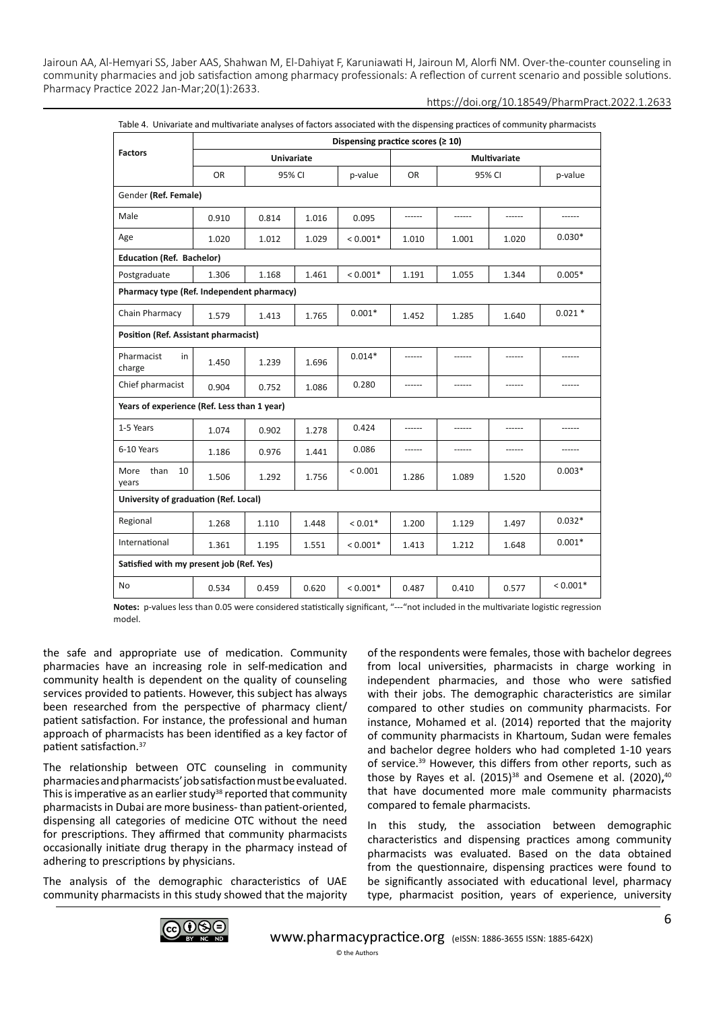| Table 4. Univariate and multivariate analyses of factors associated with the dispensing practices of community pharmacists |                                           |        |       |            |                     |        |       |            |
|----------------------------------------------------------------------------------------------------------------------------|-------------------------------------------|--------|-------|------------|---------------------|--------|-------|------------|
|                                                                                                                            | Dispensing practice scores ( $\geq 10$ )  |        |       |            |                     |        |       |            |
| <b>Factors</b>                                                                                                             | <b>Univariate</b>                         |        |       |            | <b>Multivariate</b> |        |       |            |
|                                                                                                                            | <b>OR</b>                                 | 95% CI |       | p-value    | <b>OR</b>           | 95% CI |       | p-value    |
| Gender (Ref. Female)                                                                                                       |                                           |        |       |            |                     |        |       |            |
| Male                                                                                                                       | 0.910                                     | 0.814  | 1.016 | 0.095      | ------              |        |       |            |
| Age                                                                                                                        | 1.020                                     | 1.012  | 1.029 | $< 0.001*$ | 1.010               | 1.001  | 1.020 | $0.030*$   |
| <b>Education (Ref. Bachelor)</b>                                                                                           |                                           |        |       |            |                     |        |       |            |
| Postgraduate                                                                                                               | 1.306                                     | 1.168  | 1.461 | $< 0.001*$ | 1.191               | 1.055  | 1.344 | $0.005*$   |
|                                                                                                                            | Pharmacy type (Ref. Independent pharmacy) |        |       |            |                     |        |       |            |
| Chain Pharmacy                                                                                                             | 1.579                                     | 1.413  | 1.765 | $0.001*$   | 1.452               | 1.285  | 1.640 | $0.021*$   |
|                                                                                                                            | Position (Ref. Assistant pharmacist)      |        |       |            |                     |        |       |            |
| Pharmacist<br>in<br>charge                                                                                                 | 1.450                                     | 1.239  | 1.696 | $0.014*$   |                     |        |       |            |
| Chief pharmacist                                                                                                           | 0.904                                     | 0.752  | 1.086 | 0.280      |                     |        |       |            |
| Years of experience (Ref. Less than 1 year)                                                                                |                                           |        |       |            |                     |        |       |            |
| 1-5 Years                                                                                                                  | 1.074                                     | 0.902  | 1.278 | 0.424      | ------              | ------ |       |            |
| 6-10 Years                                                                                                                 | 1.186                                     | 0.976  | 1.441 | 0.086      | ------              |        |       |            |
| More<br>than<br>10<br>years                                                                                                | 1.506                                     | 1.292  | 1.756 | < 0.001    | 1.286               | 1.089  | 1.520 | $0.003*$   |
|                                                                                                                            | University of graduation (Ref. Local)     |        |       |            |                     |        |       |            |
| Regional                                                                                                                   | 1.268                                     | 1.110  | 1.448 | $< 0.01*$  | 1.200               | 1.129  | 1.497 | $0.032*$   |
| International                                                                                                              | 1.361                                     | 1.195  | 1.551 | $< 0.001*$ | 1.413               | 1.212  | 1.648 | $0.001*$   |
| Satisfied with my present job (Ref. Yes)                                                                                   |                                           |        |       |            |                     |        |       |            |
| No                                                                                                                         | 0.534                                     | 0.459  | 0.620 | $< 0.001*$ | 0.487               | 0.410  | 0.577 | $< 0.001*$ |

**Notes:** p-values less than 0.05 were considered statistically significant, "---"not included in the multivariate logistic regression model.

the safe and appropriate use of medication. Community pharmacies have an increasing role in self-medication and community health is dependent on the quality of counseling services provided to patients. However, this subject has always been researched from the perspective of pharmacy client/ patient satisfaction. For instance, the professional and human approach of pharmacists has been identified as a key factor of patient satisfaction.37

The relationship between OTC counseling in community pharmacies and pharmacists' job satisfaction must be evaluated. This is imperative as an earlier study<sup>38</sup> reported that community pharmacists in Dubai are more business- than patient-oriented, dispensing all categories of medicine OTC without the need for prescriptions. They affirmed that community pharmacists occasionally initiate drug therapy in the pharmacy instead of adhering to prescriptions by physicians.

The analysis of the demographic characteristics of UAE community pharmacists in this study showed that the majority of the respondents were females, those with bachelor degrees from local universities, pharmacists in charge working in independent pharmacies, and those who were satisfied with their jobs. The demographic characteristics are similar compared to other studies on community pharmacists. For instance, Mohamed et al. (2014) reported that the majority of community pharmacists in Khartoum, Sudan were females and bachelor degree holders who had completed 1-10 years of service.<sup>39</sup> However, this differs from other reports, such as those by Rayes et al. (2015)<sup>38</sup> and Osemene et al. (2020),<sup>40</sup> that have documented more male community pharmacists compared to female pharmacists.

In this study, the association between demographic characteristics and dispensing practices among community pharmacists was evaluated. Based on the data obtained from the questionnaire, dispensing practices were found to be significantly associated with educational level, pharmacy type, pharmacist position, years of experience, university

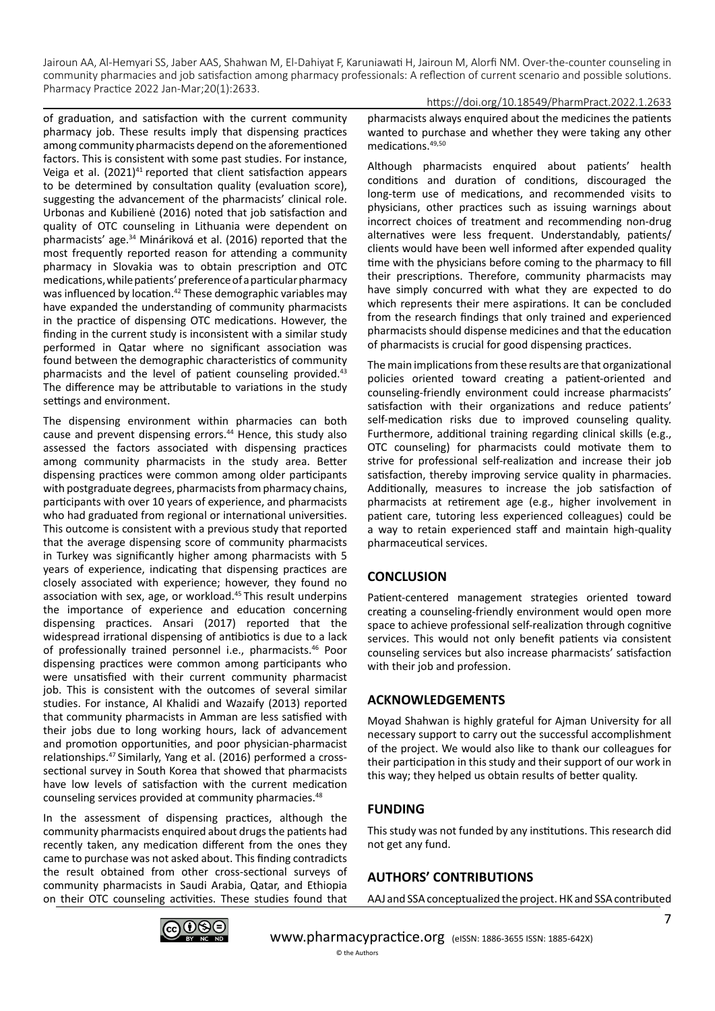medications.49,50

of graduation, and satisfaction with the current community pharmacy job. These results imply that dispensing practices among community pharmacists depend on the aforementioned factors. This is consistent with some past studies. For instance, Veiga et al. (2021)<sup>41</sup> reported that client satisfaction appears to be determined by consultation quality (evaluation score), suggesting the advancement of the pharmacists' clinical role. Urbonas and Kubilienė (2016) noted that job satisfaction and quality of OTC counseling in Lithuania were dependent on pharmacists' age.34 Mináriková et al. (2016) reported that the most frequently reported reason for attending a community pharmacy in Slovakia was to obtain prescription and OTC medications, while patients' preference of a particular pharmacy was influenced by location.<sup>42</sup> These demographic variables may have expanded the understanding of community pharmacists in the practice of dispensing OTC medications. However, the finding in the current study is inconsistent with a similar study performed in Qatar where no significant association was found between the demographic characteristics of community pharmacists and the level of patient counseling provided.<sup>43</sup> The difference may be attributable to variations in the study settings and environment.

The dispensing environment within pharmacies can both cause and prevent dispensing errors.<sup>44</sup> Hence, this study also assessed the factors associated with dispensing practices among community pharmacists in the study area. Better dispensing practices were common among older participants with postgraduate degrees, pharmacists from pharmacy chains, participants with over 10 years of experience, and pharmacists who had graduated from regional or international universities. This outcome is consistent with a previous study that reported that the average dispensing score of community pharmacists in Turkey was significantly higher among pharmacists with 5 years of experience, indicating that dispensing practices are closely associated with experience; however, they found no association with sex, age, or workload.45 This result underpins the importance of experience and education concerning dispensing practices. Ansari (2017) reported that the widespread irrational dispensing of antibiotics is due to a lack of professionally trained personnel i.e., pharmacists.<sup>46</sup> Poor dispensing practices were common among participants who were unsatisfied with their current community pharmacist job. This is consistent with the outcomes of several similar studies. For instance, Al Khalidi and Wazaify (2013) reported that community pharmacists in Amman are less satisfied with their jobs due to long working hours, lack of advancement and promotion opportunities, and poor physician-pharmacist relationships.47 Similarly, Yang et al. (2016) performed a crosssectional survey in South Korea that showed that pharmacists have low levels of satisfaction with the current medication counseling services provided at community pharmacies.<sup>48</sup>

In the assessment of dispensing practices, although the community pharmacists enquired about drugs the patients had recently taken, any medication different from the ones they came to purchase was not asked about. This finding contradicts the result obtained from other cross-sectional surveys of community pharmacists in Saudi Arabia, Qatar, and Ethiopia on their OTC counseling activities. These studies found that

https://doi.org/10.18549/PharmPract.2022.1.2633 pharmacists always enquired about the medicines the patients wanted to purchase and whether they were taking any other

Although pharmacists enquired about patients' health conditions and duration of conditions, discouraged the long-term use of medications, and recommended visits to physicians, other practices such as issuing warnings about incorrect choices of treatment and recommending non-drug alternatives were less frequent. Understandably, patients/ clients would have been well informed after expended quality time with the physicians before coming to the pharmacy to fill their prescriptions. Therefore, community pharmacists may have simply concurred with what they are expected to do which represents their mere aspirations. It can be concluded from the research findings that only trained and experienced pharmacists should dispense medicines and that the education of pharmacists is crucial for good dispensing practices.

The main implications from these results are that organizational policies oriented toward creating a patient-oriented and counseling-friendly environment could increase pharmacists' satisfaction with their organizations and reduce patients' self-medication risks due to improved counseling quality. Furthermore, additional training regarding clinical skills (e.g., OTC counseling) for pharmacists could motivate them to strive for professional self-realization and increase their job satisfaction, thereby improving service quality in pharmacies. Additionally, measures to increase the job satisfaction of pharmacists at retirement age (e.g., higher involvement in patient care, tutoring less experienced colleagues) could be a way to retain experienced staff and maintain high-quality pharmaceutical services.

# **CONCLUSION**

Patient-centered management strategies oriented toward creating a counseling-friendly environment would open more space to achieve professional self-realization through cognitive services. This would not only benefit patients via consistent counseling services but also increase pharmacists' satisfaction with their job and profession.

# **ACKNOWLEDGEMENTS**

Moyad Shahwan is highly grateful for Ajman University for all necessary support to carry out the successful accomplishment of the project. We would also like to thank our colleagues for their participation in this study and their support of our work in this way; they helped us obtain results of better quality.

# **FUNDING**

This study was not funded by any institutions. This research did not get any fund.

# **AUTHORS' CONTRIBUTIONS**

AAJ and SSA conceptualized the project. HK and SSA contributed

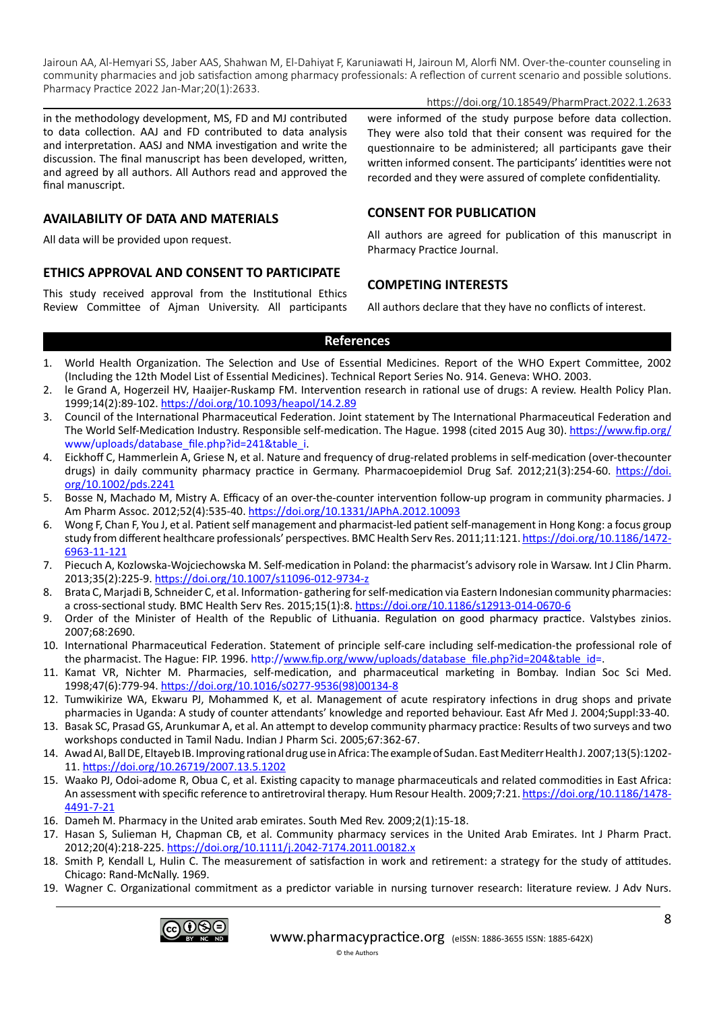https://doi.org/10.18549/PharmPract.2022.1.2633

in the methodology development, MS, FD and MJ contributed to data collection. AAJ and FD contributed to data analysis and interpretation. AASJ and NMA investigation and write the discussion. The final manuscript has been developed, written, and agreed by all authors. All Authors read and approved the final manuscript.

# **AVAILABILITY OF DATA AND MATERIALS**

All data will be provided upon request.

# **ETHICS APPROVAL AND CONSENT TO PARTICIPATE**

This study received approval from the Institutional Ethics Review Committee of Ajman University. All participants were informed of the study purpose before data collection. They were also told that their consent was required for the questionnaire to be administered; all participants gave their written informed consent. The participants' identities were not recorded and they were assured of complete confidentiality.

# **CONSENT FOR PUBLICATION**

All authors are agreed for publication of this manuscript in Pharmacy Practice Journal.

# **COMPETING INTERESTS**

All authors declare that they have no conflicts of interest.

# **References**

- 1. World Health Organization. The Selection and Use of Essential Medicines. Report of the WHO Expert Committee, 2002 (Including the 12th Model List of Essential Medicines). Technical Report Series No. 914. Geneva: WHO. 2003.
- 2. le Grand A, Hogerzeil HV, Haaijer-Ruskamp FM. Intervention research in rational use of drugs: A review. Health Policy Plan. 1999;14(2):89-102.<https://doi.org/10.1093/heapol/14.2.89>
- 3. Council of the International Pharmaceutical Federation. Joint statement by The International Pharmaceutical Federation and The World Self-Medication Industry. Responsible self-medication. The Hague. 1998 (cited 2015 Aug 30).<https://www.fip.org/> www/uploads/database\_file.php?id=241&table\_i.
- 4. Eickhoff C, Hammerlein A, Griese N, et al. Nature and frequency of drug-related problems in self-medication (over-thecounter drugs) in daily community pharmacy practice in Germany. Pharmacoepidemiol Drug Saf. 2012;21(3):254-60. [https://doi.](https://doi.org/10.1002/pds.2241) [org/10.1002/pds.2241](https://doi.org/10.1002/pds.2241)
- 5. Bosse N, Machado M, Mistry A. Efficacy of an over-the-counter intervention follow-up program in community pharmacies. J Am Pharm Assoc. 2012;52(4):535-40. <https://doi.org/10.1331/JAPhA.2012.10093>
- 6. Wong F, Chan F, You J, et al. Patient self management and pharmacist-led patient self-management in Hong Kong: a focus group study from different healthcare professionals' perspectives. BMC Health Serv Res. 2011;11:121. [https://doi.org/10.1186/1472-](https://doi.org/10.1186/1472-6963-11-121) [6963-11-121](https://doi.org/10.1186/1472-6963-11-121)
- 7. Piecuch A, Kozlowska-Wojciechowska M. Self-medication in Poland: the pharmacist's advisory role in Warsaw. Int J Clin Pharm. 2013;35(2):225-9.<https://doi.org/10.1007/s11096-012-9734-z>
- 8. Brata C, Marjadi B, Schneider C, et al. Information- gathering for self-medication via Eastern Indonesian community pharmacies: a cross-sectional study. BMC Health Serv Res. 2015;15(1):8. <https://doi.org/10.1186/s12913-014-0670-6>
- 9. Order of the Minister of Health of the Republic of Lithuania. Regulation on good pharmacy practice. Valstybes zinios. 2007;68:2690.
- 10. International Pharmaceutical Federation. Statement of principle self-care including self-medication-the professional role of the pharmacist. The Hague: FIP. 1996. http:/[/www.fip.org/www/uploads/database\\_file.php?id=204&table\\_id](http://www.fip.org/www/uploads/database_file.php?id=204&table_id)=.
- 11. Kamat VR, Nichter M. Pharmacies, self-medication, and pharmaceutical marketing in Bombay. Indian Soc Sci Med. 1998;47(6):779-94. [https://doi.org/10.1016/s0277-9536\(98\)00134-8](https://doi.org/10.1016/s0277-9536(98)00134-8)
- 12. Tumwikirize WA, Ekwaru PJ, Mohammed K, et al. Management of acute respiratory infections in drug shops and private pharmacies in Uganda: A study of counter attendants' knowledge and reported behaviour. East Afr Med J. 2004;Suppl:33-40.
- 13. Basak SC, Prasad GS, Arunkumar A, et al. An attempt to develop community pharmacy practice: Results of two surveys and two workshops conducted in Tamil Nadu. Indian J Pharm Sci. 2005;67:362-67.
- 14. Awad AI, Ball DE, Eltayeb IB. Improving rational drug use in Africa: The example of Sudan. East Mediterr Health J. 2007;13(5):1202- 11. <https://doi.org/10.26719/2007.13.5.1202>
- 15. Waako PJ, Odoi-adome R, Obua C, et al. Existing capacity to manage pharmaceuticals and related commodities in East Africa: An assessment with specific reference to antiretroviral therapy. Hum Resour Health. 2009;7:21. [https://doi.org/10.1186/1478-](https://doi.org/10.1186/1478-4491-7-21) [4491-7-21](https://doi.org/10.1186/1478-4491-7-21)
- 16. Dameh M. Pharmacy in the United arab emirates. South Med Rev. 2009;2(1):15-18.
- 17. Hasan S, Sulieman H, Chapman CB, et al. Community pharmacy services in the United Arab Emirates. Int J Pharm Pract. 2012;20(4):218-225.<https://doi.org/10.1111/j.2042-7174.2011.00182.x>
- 18. Smith P, Kendall L, Hulin C. The measurement of satisfaction in work and retirement: a strategy for the study of attitudes. Chicago: Rand-McNally. 1969.
- 19. Wagner C. Organizational commitment as a predictor variable in nursing turnover research: literature review. J Adv Nurs.

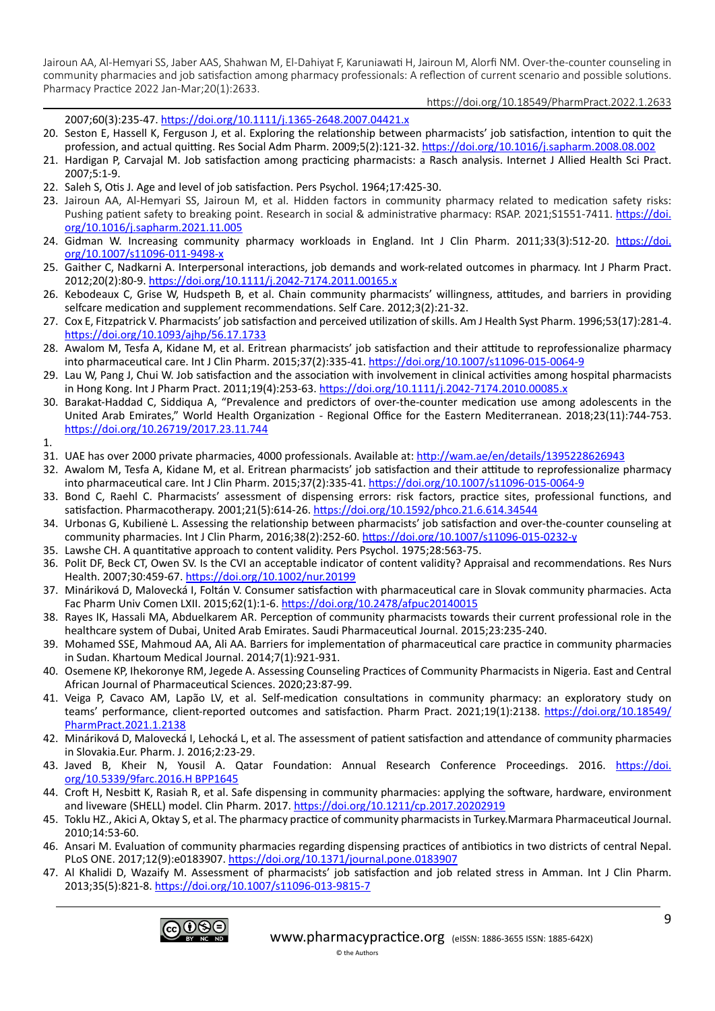https://doi.org/10.18549/PharmPract.2022.1.2633

2007;60(3):235-47.<https://doi.org/10.1111/j.1365-2648.2007.04421.x>

- 20. Seston E, Hassell K, Ferguson J, et al. Exploring the relationship between pharmacists' job satisfaction, intention to quit the profession, and actual quitting. Res Social Adm Pharm. 2009;5(2):121-32. <https://doi.org/10.1016/j.sapharm.2008.08.002>
- 21. Hardigan P, Carvajal M. Job satisfaction among practicing pharmacists: a Rasch analysis. Internet J Allied Health Sci Pract. 2007;5:1-9.
- 22. Saleh S, Otis J. Age and level of job satisfaction. Pers Psychol. 1964;17:425-30.
- 23. Jairoun AA, Al-Hemyari SS, Jairoun M, et al. Hidden factors in community pharmacy related to medication safety risks: Pushing patient safety to breaking point. Research in social & administrative pharmacy: RSAP. 2021;S1551-7411. [https://doi.](https://doi.org/10.1016/j.sapharm.2021.11.005) [org/10.1016/j.sapharm.2021.11.005](https://doi.org/10.1016/j.sapharm.2021.11.005)
- 24. Gidman W. Increasing community pharmacy workloads in England. Int J Clin Pharm. 2011;33(3):512-20. [https://doi.](https://doi.org/10.1007/s11096-011-9498-x) [org/10.1007/s11096-011-9498-x](https://doi.org/10.1007/s11096-011-9498-x)
- 25. Gaither C, Nadkarni A. Interpersonal interactions, job demands and work-related outcomes in pharmacy. Int J Pharm Pract. 2012;20(2):80-9. <https://doi.org/10.1111/j.2042-7174.2011.00165.x>
- 26. Kebodeaux C, Grise W, Hudspeth B, et al. Chain community pharmacists' willingness, attitudes, and barriers in providing selfcare medication and supplement recommendations. Self Care. 2012;3(2):21-32.
- 27. Cox E, Fitzpatrick V. Pharmacists' job satisfaction and perceived utilization of skills. Am J Health Syst Pharm. 1996;53(17):281-4. <https://doi.org/10.1093/ajhp/56.17.1733>
- 28. Awalom M, Tesfa A, Kidane M, et al. Eritrean pharmacists' job satisfaction and their attitude to reprofessionalize pharmacy into pharmaceutical care. Int J Clin Pharm. 2015;37(2):335-41.<https://doi.org/10.1007/s11096-015-0064-9>
- 29. Lau W, Pang J, Chui W. Job satisfaction and the association with involvement in clinical activities among hospital pharmacists in Hong Kong. Int J Pharm Pract. 2011;19(4):253-63. <https://doi.org/10.1111/j.2042-7174.2010.00085.x>
- 30. Barakat-Haddad C, Siddiqua A, "Prevalence and predictors of over-the-counter medication use among adolescents in the United Arab Emirates," World Health Organization - Regional Office for the Eastern Mediterranean. 2018;23(11):744-753. <https://doi.org/10.26719/2017.23.11.744>

1.

- 31. UAE has over 2000 private pharmacies, 4000 professionals. Available at:<http://wam.ae/en/details/1395228626943>
- 32. Awalom M, Tesfa A, Kidane M, et al. Eritrean pharmacists' job satisfaction and their attitude to reprofessionalize pharmacy into pharmaceutical care. Int J Clin Pharm. 2015;37(2):335-41.<https://doi.org/10.1007/s11096-015-0064-9>
- 33. Bond C, Raehl C. Pharmacists' assessment of dispensing errors: risk factors, practice sites, professional functions, and satisfaction. Pharmacotherapy. 2001;21(5):614-26.<https://doi.org/10.1592/phco.21.6.614.34544>
- 34. Urbonas G, Kubilienė L. Assessing the relationship between pharmacists' job satisfaction and over-the-counter counseling at community pharmacies. Int J Clin Pharm, 2016;38(2):252-60. <https://doi.org/10.1007/s11096-015-0232-y>
- 35. Lawshe CH. A quantitative approach to content validity. Pers Psychol. 1975;28:563-75.
- 36. Polit DF, Beck CT, Owen SV. Is the CVI an acceptable indicator of content validity? Appraisal and recommendations. Res Nurs Health. 2007;30:459-67. <https://doi.org/10.1002/nur.20199>
- 37. Mináriková D, Malovecká I, Foltán V. Consumer satisfaction with pharmaceutical care in Slovak community pharmacies. Acta Fac Pharm Univ Comen LXII. 2015;62(1):1-6.<https://doi.org/10.2478/afpuc20140015>
- 38. Rayes IK, Hassali MA, Abduelkarem AR. Perception of community pharmacists towards their current professional role in the healthcare system of Dubai, United Arab Emirates. Saudi Pharmaceutical Journal. 2015;23:235-240.
- 39. Mohamed SSE, Mahmoud AA, Ali AA. Barriers for implementation of pharmaceutical care practice in community pharmacies in Sudan. Khartoum Medical Journal. 2014;7(1):921-931.
- 40. Osemene KP, Ihekoronye RM, Jegede A. Assessing Counseling Practices of Community Pharmacists in Nigeria. East and Central African Journal of Pharmaceutical Sciences. 2020;23:87-99.
- 41. Veiga P, Cavaco AM, Lapão LV, et al. Self-medication consultations in community pharmacy: an exploratory study on teams' performance, client-reported outcomes and satisfaction. Pharm Pract. 2021;19(1):2138. [https://doi.org/10.18549/](https://doi.org/10.18549/PharmPract.2021.1.2138) [PharmPract.2021.1.2138](https://doi.org/10.18549/PharmPract.2021.1.2138)
- 42. Mináriková D, Malovecká I, Lehocká L, et al. The assessment of patient satisfaction and attendance of community pharmacies in Slovakia.Eur. Pharm. J. 2016;2:23-29.
- 43. Javed B, Kheir N, Yousil A. Qatar Foundation: Annual Research Conference Proceedings. 2016. [https://doi.](https://doi.org/10.5339/9farc.2016.H%20BPP1645) [org/10.5339/9farc.2016.H BPP1645](https://doi.org/10.5339/9farc.2016.H%20BPP1645)
- 44. Croft H, Nesbitt K, Rasiah R, et al. Safe dispensing in community pharmacies: applying the software, hardware, environment and liveware (SHELL) model. Clin Pharm. 2017. <https://doi.org/10.1211/cp.2017.20202919>
- 45. Toklu HZ., Akici A, Oktay S, et al. The pharmacy practice of community pharmacists in Turkey.Marmara Pharmaceutical Journal. 2010;14:53-60.
- 46. Ansari M. Evaluation of community pharmacies regarding dispensing practices of antibiotics in two districts of central Nepal. PLoS ONE. 2017;12(9):e0183907.<https://doi.org/10.1371/journal.pone.0183907>
- 47. Al Khalidi D, Wazaify M. Assessment of pharmacists' job satisfaction and job related stress in Amman. Int J Clin Pharm. 2013;35(5):821-8.<https://doi.org/10.1007/s11096-013-9815-7>